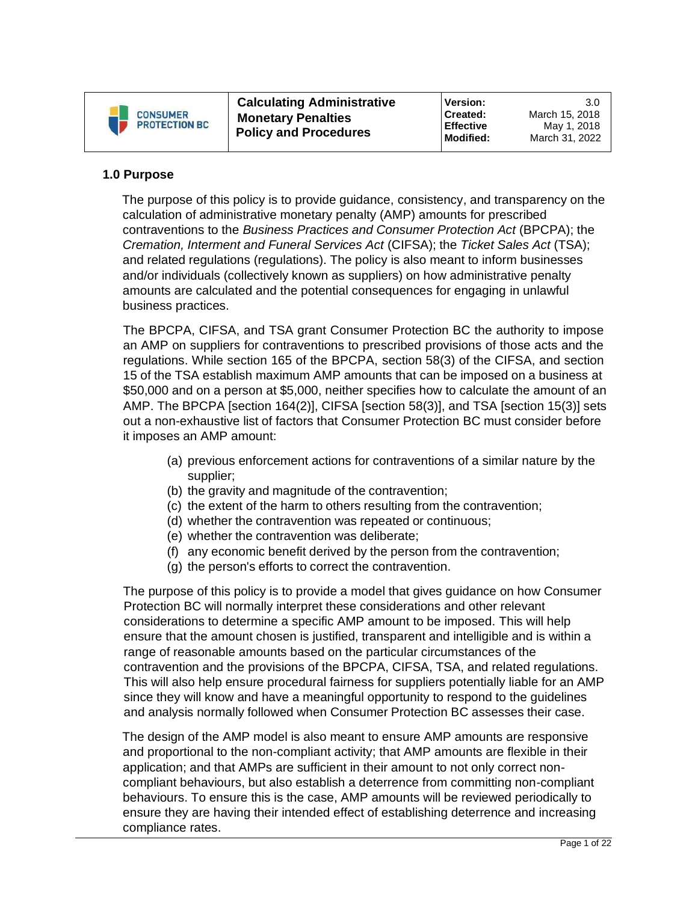

# **1.0 Purpose**

The purpose of this policy is to provide guidance, consistency, and transparency on the calculation of administrative monetary penalty (AMP) amounts for prescribed contraventions to the *Business Practices and Consumer Protection Act* (BPCPA); the *Cremation, Interment and Funeral Services Act* (CIFSA); the *Ticket Sales Act* (TSA); and related regulations (regulations). The policy is also meant to inform businesses and/or individuals (collectively known as suppliers) on how administrative penalty amounts are calculated and the potential consequences for engaging in unlawful business practices.

The BPCPA, CIFSA, and TSA grant Consumer Protection BC the authority to impose an AMP on suppliers for contraventions to prescribed provisions of those acts and the regulations. While section 165 of the BPCPA, section 58(3) of the CIFSA, and section 15 of the TSA establish maximum AMP amounts that can be imposed on a business at \$50,000 and on a person at \$5,000, neither specifies how to calculate the amount of an AMP. The BPCPA [section 164(2)], CIFSA [section 58(3)], and TSA [section 15(3)] sets out a non-exhaustive list of factors that Consumer Protection BC must consider before it imposes an AMP amount:

- (a) previous enforcement actions for contraventions of a similar nature by the supplier;
- (b) the gravity and magnitude of the contravention;
- (c) the extent of the harm to others resulting from the contravention;
- (d) whether the contravention was repeated or continuous;
- (e) whether the contravention was deliberate;
- (f) any economic benefit derived by the person from the contravention;
- (g) the person's efforts to correct the contravention.

The purpose of this policy is to provide a model that gives guidance on how Consumer Protection BC will normally interpret these considerations and other relevant considerations to determine a specific AMP amount to be imposed. This will help ensure that the amount chosen is justified, transparent and intelligible and is within a range of reasonable amounts based on the particular circumstances of the contravention and the provisions of the BPCPA, CIFSA, TSA, and related regulations. This will also help ensure procedural fairness for suppliers potentially liable for an AMP since they will know and have a meaningful opportunity to respond to the guidelines and analysis normally followed when Consumer Protection BC assesses their case.

The design of the AMP model is also meant to ensure AMP amounts are responsive and proportional to the non-compliant activity; that AMP amounts are flexible in their application; and that AMPs are sufficient in their amount to not only correct noncompliant behaviours, but also establish a deterrence from committing non-compliant behaviours. To ensure this is the case, AMP amounts will be reviewed periodically to ensure they are having their intended effect of establishing deterrence and increasing compliance rates.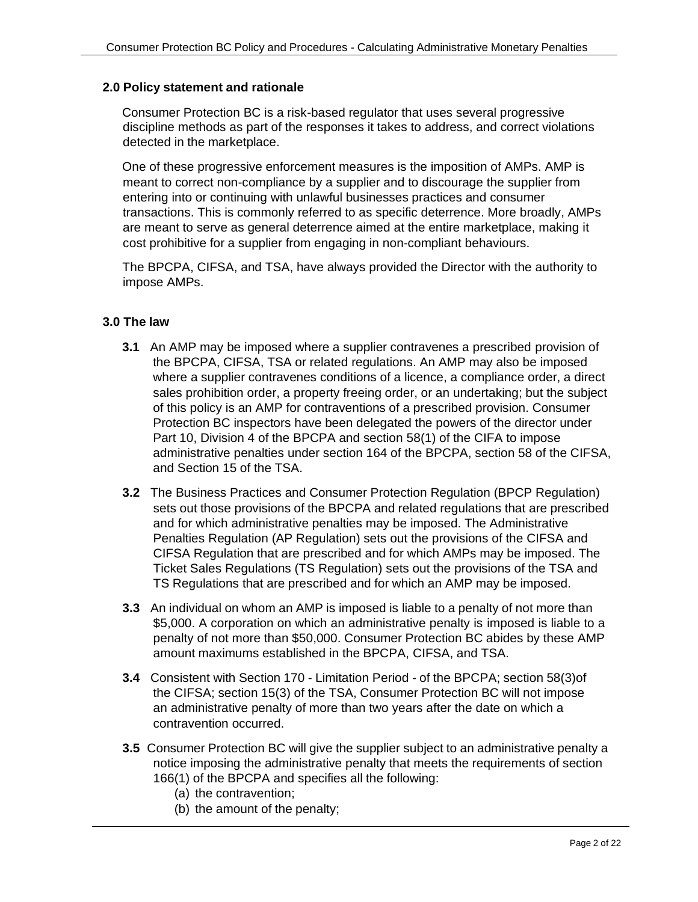# **2.0 Policy statement and rationale**

Consumer Protection BC is a risk-based regulator that uses several progressive discipline methods as part of the responses it takes to address, and correct violations detected in the marketplace.

One of these progressive enforcement measures is the imposition of AMPs. AMP is meant to correct non-compliance by a supplier and to discourage the supplier from entering into or continuing with unlawful businesses practices and consumer transactions. This is commonly referred to as specific deterrence. More broadly, AMPs are meant to serve as general deterrence aimed at the entire marketplace, making it cost prohibitive for a supplier from engaging in non-compliant behaviours.

The BPCPA, CIFSA, and TSA, have always provided the Director with the authority to impose AMPs.

# **3.0 The law**

- **3.1** An AMP may be imposed where a supplier contravenes a prescribed provision of the BPCPA, CIFSA, TSA or related regulations. An AMP may also be imposed where a supplier contravenes conditions of a licence, a compliance order, a direct sales prohibition order, a property freeing order, or an undertaking; but the subject of this policy is an AMP for contraventions of a prescribed provision. Consumer Protection BC inspectors have been delegated the powers of the director under Part 10, Division 4 of the BPCPA and section 58(1) of the CIFA to impose administrative penalties under section 164 of the BPCPA, section 58 of the CIFSA, and Section 15 of the TSA.
- **3.2** The Business Practices and Consumer Protection Regulation (BPCP Regulation) sets out those provisions of the BPCPA and related regulations that are prescribed and for which administrative penalties may be imposed. The Administrative Penalties Regulation (AP Regulation) sets out the provisions of the CIFSA and CIFSA Regulation that are prescribed and for which AMPs may be imposed. The Ticket Sales Regulations (TS Regulation) sets out the provisions of the TSA and TS Regulations that are prescribed and for which an AMP may be imposed.
- **3.3** An individual on whom an AMP is imposed is liable to a penalty of not more than \$5,000. A corporation on which an administrative penalty is imposed is liable to a penalty of not more than \$50,000. Consumer Protection BC abides by these AMP amount maximums established in the BPCPA, CIFSA, and TSA.
- **3.4** Consistent with Section 170 Limitation Period of the BPCPA; section 58(3)of the CIFSA; section 15(3) of the TSA, Consumer Protection BC will not impose an administrative penalty of more than two years after the date on which a contravention occurred.
- **3.5** Consumer Protection BC will give the supplier subject to an administrative penalty a notice imposing the administrative penalty that meets the requirements of section 166(1) of the BPCPA and specifies all the following:
	- (a) the contravention;
	- (b) the amount of the penalty;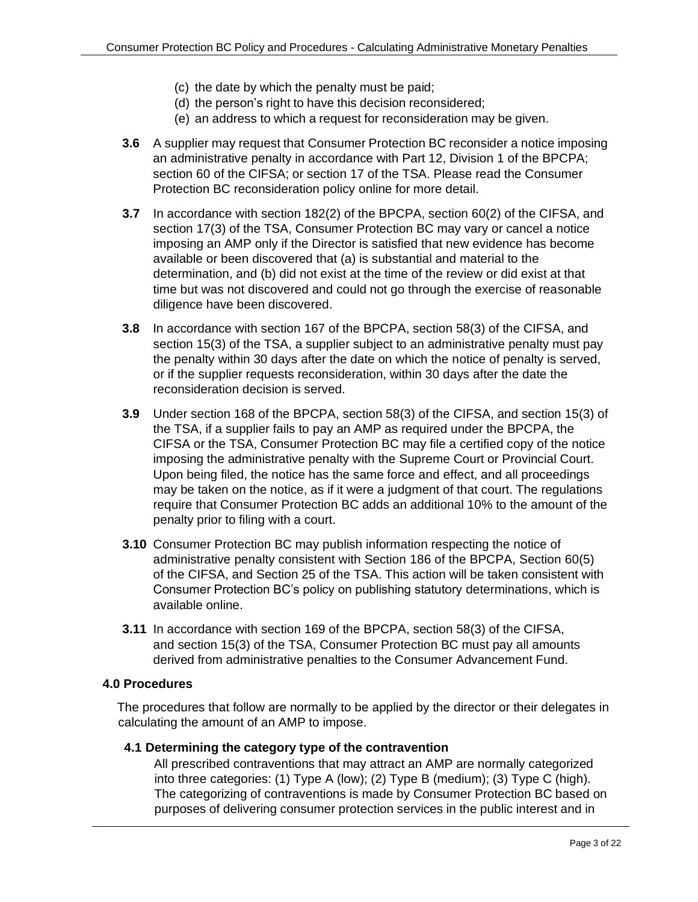- (c) the date by which the penalty must be paid;
- (d) the person's right to have this decision reconsidered;
- (e) an address to which a request for reconsideration may be given.
- **3.6** A supplier may request that Consumer Protection BC reconsider a notice imposing an administrative penalty in accordance with Part 12, Division 1 of the BPCPA; section 60 of the CIFSA; or section 17 of the TSA. Please read the Consumer Protection BC reconsideration policy online for more detail.
- **3.7** In accordance with section 182(2) of the BPCPA, section 60(2) of the CIFSA, and section 17(3) of the TSA, Consumer Protection BC may vary or cancel a notice imposing an AMP only if the Director is satisfied that new evidence has become available or been discovered that (a) is substantial and material to the determination, and (b) did not exist at the time of the review or did exist at that time but was not discovered and could not go through the exercise of reasonable diligence have been discovered.
- **3.8** In accordance with section 167 of the BPCPA, section 58(3) of the CIFSA, and section 15(3) of the TSA, a supplier subject to an administrative penalty must pay the penalty within 30 days after the date on which the notice of penalty is served, or if the supplier requests reconsideration, within 30 days after the date the reconsideration decision is served.
- **3.9** Under section 168 of the BPCPA, section 58(3) of the CIFSA, and section 15(3) of the TSA, if a supplier fails to pay an AMP as required under the BPCPA, the CIFSA or the TSA, Consumer Protection BC may file a certified copy of the notice imposing the administrative penalty with the Supreme Court or Provincial Court. Upon being filed, the notice has the same force and effect, and all proceedings may be taken on the notice, as if it were a judgment of that court. The regulations require that Consumer Protection BC adds an additional 10% to the amount of the penalty prior to filing with a court.
- **3.10** Consumer Protection BC may publish information respecting the notice of administrative penalty consistent with Section 186 of the BPCPA, Section 60(5) of the CIFSA, and Section 25 of the TSA. This action will be taken consistent with Consumer Protection BC's policy on publishing statutory determinations, which is available online.
- **3.11** In accordance with section 169 of the BPCPA, section 58(3) of the CIFSA, and section 15(3) of the TSA, Consumer Protection BC must pay all amounts derived from administrative penalties to the Consumer Advancement Fund.

#### **4.0 Procedures**

The procedures that follow are normally to be applied by the director or their delegates in calculating the amount of an AMP to impose.

# **4.1 Determining the category type of the contravention**

All prescribed contraventions that may attract an AMP are normally categorized into three categories: (1) Type A (low); (2) Type B (medium); (3) Type C (high). The categorizing of contraventions is made by Consumer Protection BC based on purposes of delivering consumer protection services in the public interest and in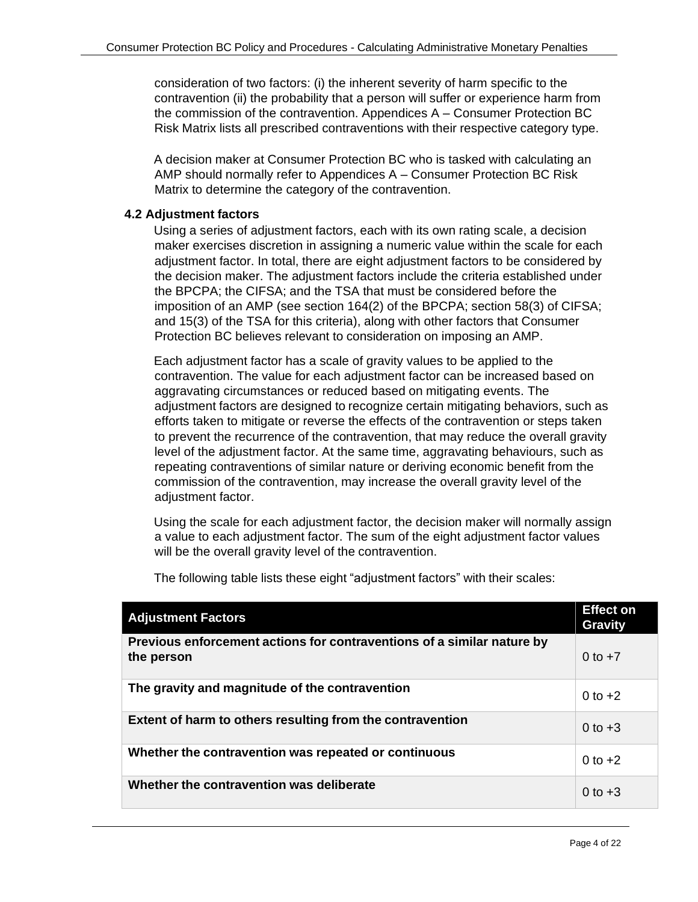consideration of two factors: (i) the inherent severity of harm specific to the contravention (ii) the probability that a person will suffer or experience harm from the commission of the contravention. Appendices A – Consumer Protection BC Risk Matrix lists all prescribed contraventions with their respective category type.

A decision maker at Consumer Protection BC who is tasked with calculating an AMP should normally refer to Appendices A – Consumer Protection BC Risk Matrix to determine the category of the contravention.

# **4.2 Adjustment factors**

Using a series of adjustment factors, each with its own rating scale, a decision maker exercises discretion in assigning a numeric value within the scale for each adjustment factor. In total, there are eight adjustment factors to be considered by the decision maker. The adjustment factors include the criteria established under the BPCPA; the CIFSA; and the TSA that must be considered before the imposition of an AMP (see section 164(2) of the BPCPA; section 58(3) of CIFSA; and 15(3) of the TSA for this criteria), along with other factors that Consumer Protection BC believes relevant to consideration on imposing an AMP.

Each adjustment factor has a scale of gravity values to be applied to the contravention. The value for each adjustment factor can be increased based on aggravating circumstances or reduced based on mitigating events. The adjustment factors are designed to recognize certain mitigating behaviors, such as efforts taken to mitigate or reverse the effects of the contravention or steps taken to prevent the recurrence of the contravention, that may reduce the overall gravity level of the adjustment factor. At the same time, aggravating behaviours, such as repeating contraventions of similar nature or deriving economic benefit from the commission of the contravention, may increase the overall gravity level of the adjustment factor.

Using the scale for each adjustment factor, the decision maker will normally assign a value to each adjustment factor. The sum of the eight adjustment factor values will be the overall gravity level of the contravention.

| <b>Adjustment Factors</b>                                                            | <b>Effect on</b><br><b>Gravity</b> |
|--------------------------------------------------------------------------------------|------------------------------------|
| Previous enforcement actions for contraventions of a similar nature by<br>the person | 0 to $+7$                          |
| The gravity and magnitude of the contravention                                       | 0 to $+2$                          |
| Extent of harm to others resulting from the contravention                            | 0 to $+3$                          |
| Whether the contravention was repeated or continuous                                 | 0 to $+2$                          |
| Whether the contravention was deliberate                                             | 0 to $+3$                          |

The following table lists these eight "adjustment factors" with their scales: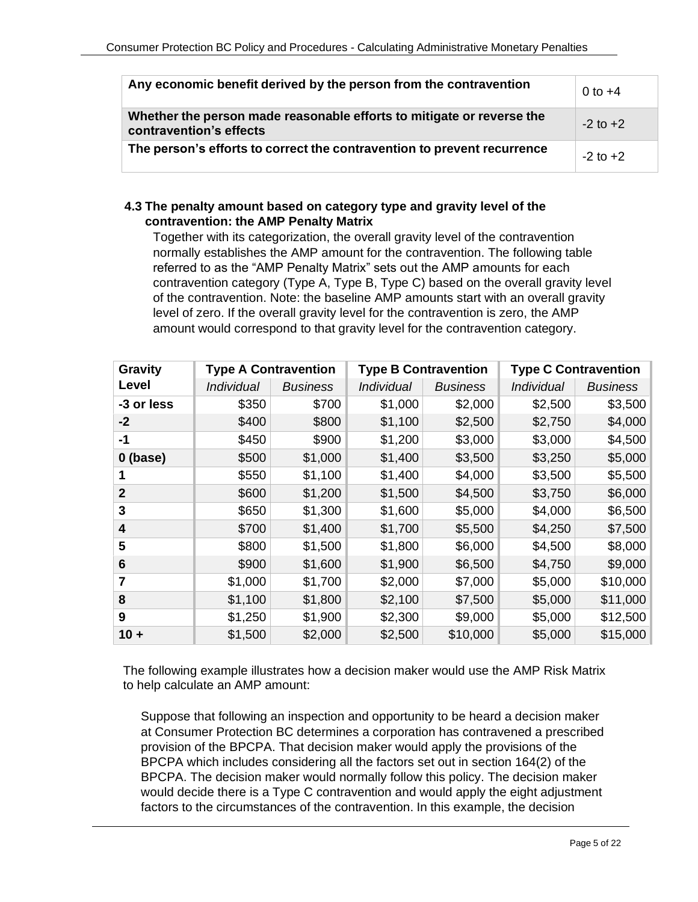| Any economic benefit derived by the person from the contravention                                | $0$ to $+4$  |
|--------------------------------------------------------------------------------------------------|--------------|
| Whether the person made reasonable efforts to mitigate or reverse the<br>contravention's effects | $-2$ to $+2$ |
| The person's efforts to correct the contravention to prevent recurrence                          | $-2$ to $+2$ |

# **4.3 The penalty amount based on category type and gravity level of the contravention: the AMP Penalty Matrix**

Together with its categorization, the overall gravity level of the contravention normally establishes the AMP amount for the contravention. The following table referred to as the "AMP Penalty Matrix" sets out the AMP amounts for each contravention category (Type A, Type B, Type C) based on the overall gravity level of the contravention. Note: the baseline AMP amounts start with an overall gravity level of zero. If the overall gravity level for the contravention is zero, the AMP amount would correspond to that gravity level for the contravention category.

| <b>Gravity</b> |                          | <b>Type A Contravention</b> |            | <b>Type B Contravention</b><br><b>Type C Contravention</b> |                          |                 |
|----------------|--------------------------|-----------------------------|------------|------------------------------------------------------------|--------------------------|-----------------|
| Level          | <i><b>Individual</b></i> | <b>Business</b>             | Individual | <b>Business</b>                                            | <i><b>Individual</b></i> | <b>Business</b> |
| -3 or less     | \$350                    | \$700                       | \$1,000    | \$2,000                                                    | \$2,500                  | \$3,500         |
| $-2$           | \$400                    | \$800                       | \$1,100    | \$2,500                                                    | \$2,750                  | \$4,000         |
| -1             | \$450                    | \$900                       | \$1,200    | \$3,000                                                    | \$3,000                  | \$4,500         |
| $0$ (base)     | \$500                    | \$1,000                     | \$1,400    | \$3,500                                                    | \$3,250                  | \$5,000         |
|                | \$550                    | \$1,100                     | \$1,400    | \$4,000                                                    | \$3,500                  | \$5,500         |
| $\overline{2}$ | \$600                    | \$1,200                     | \$1,500    | \$4,500                                                    | \$3,750                  | \$6,000         |
| 3              | \$650                    | \$1,300                     | \$1,600    | \$5,000                                                    | \$4,000                  | \$6,500         |
| 4              | \$700                    | \$1,400                     | \$1,700    | \$5,500                                                    | \$4,250                  | \$7,500         |
| 5              | \$800                    | \$1,500                     | \$1,800    | \$6,000                                                    | \$4,500                  | \$8,000         |
| 6              | \$900                    | \$1,600                     | \$1,900    | \$6,500                                                    | \$4,750                  | \$9,000         |
| 7              | \$1,000                  | \$1,700                     | \$2,000    | \$7,000                                                    | \$5,000                  | \$10,000        |
| 8              | \$1,100                  | \$1,800                     | \$2,100    | \$7,500                                                    | \$5,000                  | \$11,000        |
| 9              | \$1,250                  | \$1,900                     | \$2,300    | \$9,000                                                    | \$5,000                  | \$12,500        |
| $10 +$         | \$1,500                  | \$2,000                     | \$2,500    | \$10,000                                                   | \$5,000                  | \$15,000        |

The following example illustrates how a decision maker would use the AMP Risk Matrix to help calculate an AMP amount:

Suppose that following an inspection and opportunity to be heard a decision maker at Consumer Protection BC determines a corporation has contravened a prescribed provision of the BPCPA. That decision maker would apply the provisions of the BPCPA which includes considering all the factors set out in section 164(2) of the BPCPA. The decision maker would normally follow this policy. The decision maker would decide there is a Type C contravention and would apply the eight adjustment factors to the circumstances of the contravention. In this example, the decision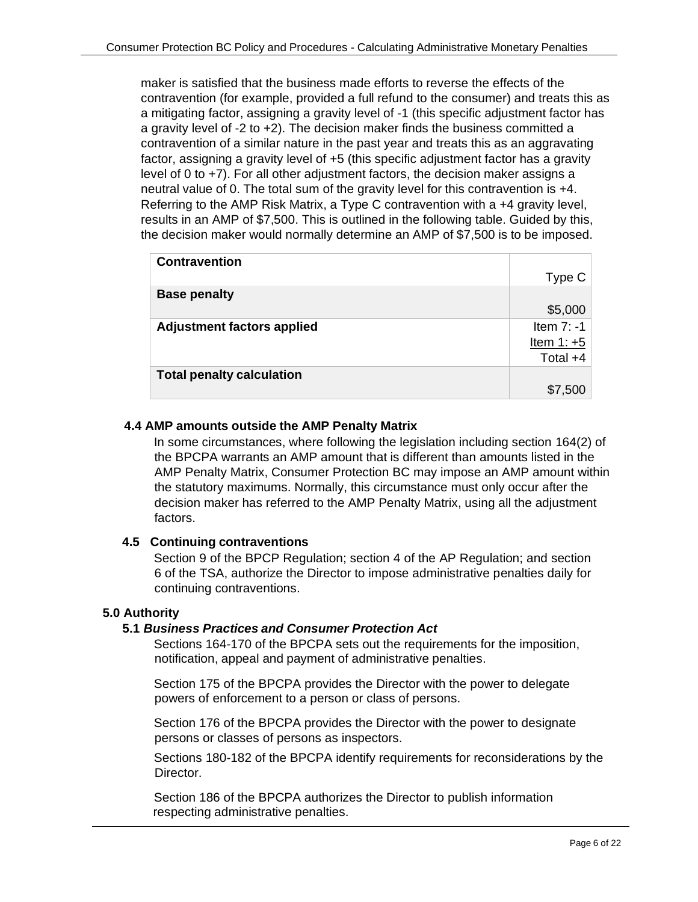maker is satisfied that the business made efforts to reverse the effects of the contravention (for example, provided a full refund to the consumer) and treats this as a mitigating factor, assigning a gravity level of -1 (this specific adjustment factor has a gravity level of -2 to +2). The decision maker finds the business committed a contravention of a similar nature in the past year and treats this as an aggravating factor, assigning a gravity level of +5 (this specific adjustment factor has a gravity level of 0 to +7). For all other adjustment factors, the decision maker assigns a neutral value of 0. The total sum of the gravity level for this contravention is +4. Referring to the AMP Risk Matrix, a Type C contravention with a +4 gravity level, results in an AMP of \$7,500. This is outlined in the following table. Guided by this, the decision maker would normally determine an AMP of \$7,500 is to be imposed.

| <b>Contravention</b>              |              |
|-----------------------------------|--------------|
|                                   | Type C       |
| <b>Base penalty</b>               |              |
|                                   | \$5,000      |
| <b>Adjustment factors applied</b> | Item $7: -1$ |
|                                   | Item $1: +5$ |
|                                   | Total $+4$   |
| <b>Total penalty calculation</b>  |              |
|                                   | \$7,500      |

# **4.4 AMP amounts outside the AMP Penalty Matrix**

In some circumstances, where following the legislation including section 164(2) of the BPCPA warrants an AMP amount that is different than amounts listed in the AMP Penalty Matrix, Consumer Protection BC may impose an AMP amount within the statutory maximums. Normally, this circumstance must only occur after the decision maker has referred to the AMP Penalty Matrix, using all the adjustment factors.

# **4.5 Continuing contraventions**

Section 9 of the BPCP Regulation; section 4 of the AP Regulation; and section 6 of the TSA, authorize the Director to impose administrative penalties daily for continuing contraventions.

#### **5.0 Authority**

#### **5.1** *Business Practices and Consumer Protection Act*

Sections 164-170 of the BPCPA sets out the requirements for the imposition, notification, appeal and payment of administrative penalties.

Section 175 of the BPCPA provides the Director with the power to delegate powers of enforcement to a person or class of persons.

Section 176 of the BPCPA provides the Director with the power to designate persons or classes of persons as inspectors.

Sections 180-182 of the BPCPA identify requirements for reconsiderations by the Director.

Section 186 of the BPCPA authorizes the Director to publish information respecting administrative penalties.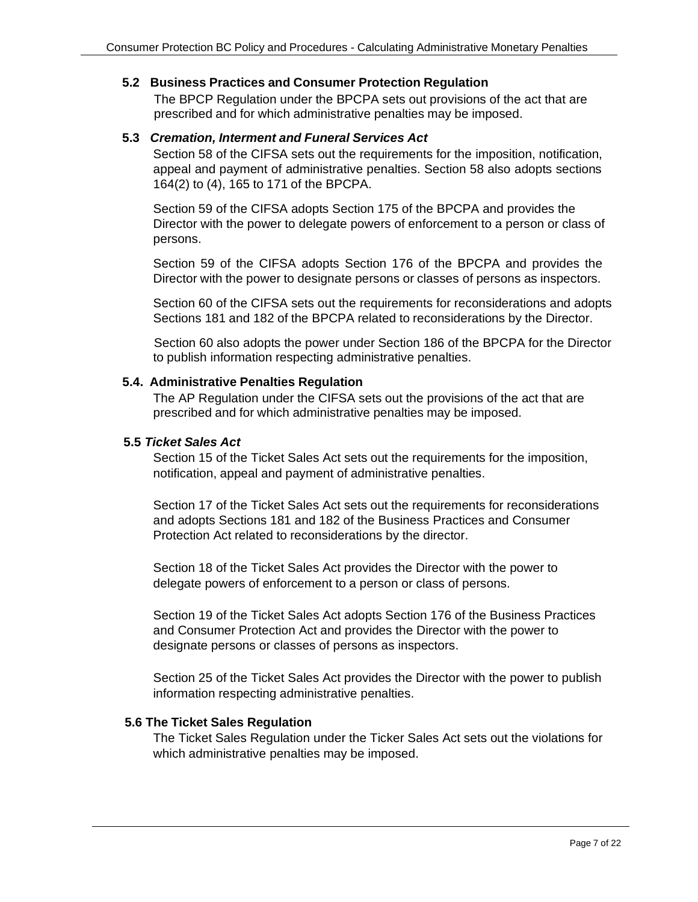#### **5.2 Business Practices and Consumer Protection Regulation**

The BPCP Regulation under the BPCPA sets out provisions of the act that are prescribed and for which administrative penalties may be imposed.

#### **5.3** *Cremation, Interment and Funeral Services Act*

Section 58 of the CIFSA sets out the requirements for the imposition, notification, appeal and payment of administrative penalties. Section 58 also adopts sections 164(2) to (4), 165 to 171 of the BPCPA.

Section 59 of the CIFSA adopts Section 175 of the BPCPA and provides the Director with the power to delegate powers of enforcement to a person or class of persons.

Section 59 of the CIFSA adopts Section 176 of the BPCPA and provides the Director with the power to designate persons or classes of persons as inspectors.

Section 60 of the CIFSA sets out the requirements for reconsiderations and adopts Sections 181 and 182 of the BPCPA related to reconsiderations by the Director.

Section 60 also adopts the power under Section 186 of the BPCPA for the Director to publish information respecting administrative penalties.

#### **5.4. Administrative Penalties Regulation**

The AP Regulation under the CIFSA sets out the provisions of the act that are prescribed and for which administrative penalties may be imposed.

#### **5.5** *Ticket Sales Act*

Section 15 of the Ticket Sales Act sets out the requirements for the imposition, notification, appeal and payment of administrative penalties.

Section 17 of the Ticket Sales Act sets out the requirements for reconsiderations and adopts Sections 181 and 182 of the Business Practices and Consumer Protection Act related to reconsiderations by the director.

Section 18 of the Ticket Sales Act provides the Director with the power to delegate powers of enforcement to a person or class of persons.

Section 19 of the Ticket Sales Act adopts Section 176 of the Business Practices and Consumer Protection Act and provides the Director with the power to designate persons or classes of persons as inspectors.

Section 25 of the Ticket Sales Act provides the Director with the power to publish information respecting administrative penalties.

# **5.6 The Ticket Sales Regulation**

The Ticket Sales Regulation under the Ticker Sales Act sets out the violations for which administrative penalties may be imposed.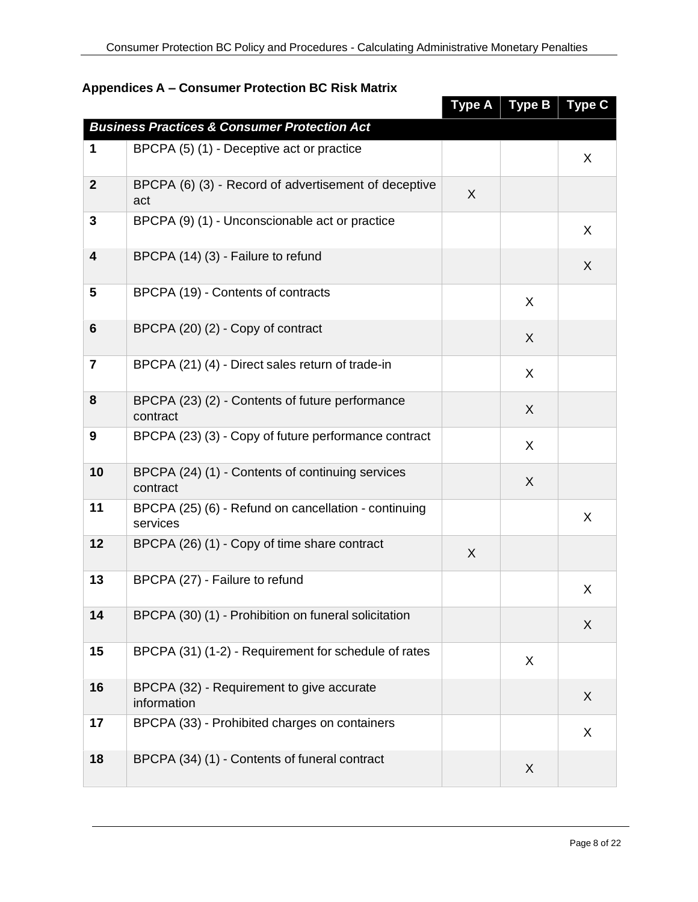|                         |                                                                  | <b>Type A</b> | <b>Type B</b> | <b>Type C</b> |
|-------------------------|------------------------------------------------------------------|---------------|---------------|---------------|
|                         | <b>Business Practices &amp; Consumer Protection Act</b>          |               |               |               |
| 1                       | BPCPA (5) (1) - Deceptive act or practice                        |               |               | X             |
| $\mathbf{2}$            | BPCPA (6) (3) - Record of advertisement of deceptive<br>act      | $\sf X$       |               |               |
| 3                       | BPCPA (9) (1) - Unconscionable act or practice                   |               |               | X             |
| $\overline{\mathbf{4}}$ | BPCPA (14) (3) - Failure to refund                               |               |               | X             |
| 5                       | BPCPA (19) - Contents of contracts                               |               | X             |               |
| $6\phantom{1}$          | BPCPA (20) (2) - Copy of contract                                |               | X             |               |
| $\overline{\mathbf{r}}$ | BPCPA (21) (4) - Direct sales return of trade-in                 |               | X             |               |
| 8                       | BPCPA (23) (2) - Contents of future performance<br>contract      |               | X             |               |
| 9                       | BPCPA (23) (3) - Copy of future performance contract             |               | X             |               |
| 10                      | BPCPA (24) (1) - Contents of continuing services<br>contract     |               | X             |               |
| 11                      | BPCPA (25) (6) - Refund on cancellation - continuing<br>services |               |               | X             |
| 12                      | BPCPA (26) (1) - Copy of time share contract                     | X             |               |               |
| 13                      | BPCPA (27) - Failure to refund                                   |               |               | X             |
| 14                      | BPCPA (30) (1) - Prohibition on funeral solicitation             |               |               | X             |
| 15                      | BPCPA (31) (1-2) - Requirement for schedule of rates             |               | X             |               |
| 16                      | BPCPA (32) - Requirement to give accurate<br>information         |               |               | X             |
| 17                      | BPCPA (33) - Prohibited charges on containers                    |               |               | X             |
| 18                      | BPCPA (34) (1) - Contents of funeral contract                    |               | X             |               |

# **Appendices A – Consumer Protection BC Risk Matrix**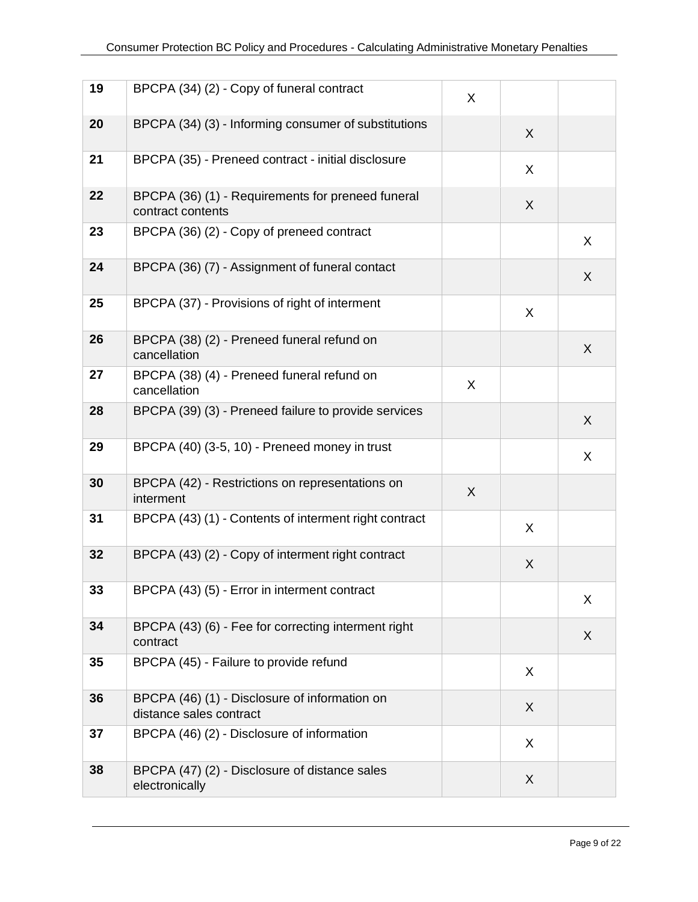| 19 | BPCPA (34) (2) - Copy of funeral contract                                | X |   |   |
|----|--------------------------------------------------------------------------|---|---|---|
| 20 | BPCPA (34) (3) - Informing consumer of substitutions                     |   | X |   |
| 21 | BPCPA (35) - Preneed contract - initial disclosure                       |   | X |   |
| 22 | BPCPA (36) (1) - Requirements for preneed funeral<br>contract contents   |   | X |   |
| 23 | BPCPA (36) (2) - Copy of preneed contract                                |   |   | X |
| 24 | BPCPA (36) (7) - Assignment of funeral contact                           |   |   | X |
| 25 | BPCPA (37) - Provisions of right of interment                            |   | X |   |
| 26 | BPCPA (38) (2) - Preneed funeral refund on<br>cancellation               |   |   | X |
| 27 | BPCPA (38) (4) - Preneed funeral refund on<br>cancellation               | X |   |   |
| 28 | BPCPA (39) (3) - Preneed failure to provide services                     |   |   | X |
| 29 | BPCPA (40) (3-5, 10) - Preneed money in trust                            |   |   | X |
| 30 | BPCPA (42) - Restrictions on representations on<br>interment             | X |   |   |
| 31 | BPCPA (43) (1) - Contents of interment right contract                    |   | X |   |
| 32 | BPCPA (43) (2) - Copy of interment right contract                        |   | X |   |
| 33 | BPCPA (43) (5) - Error in interment contract                             |   |   | X |
| 34 | BPCPA (43) (6) - Fee for correcting interment right<br>contract          |   |   | X |
| 35 | BPCPA (45) - Failure to provide refund                                   |   | X |   |
| 36 | BPCPA (46) (1) - Disclosure of information on<br>distance sales contract |   | X |   |
| 37 | BPCPA (46) (2) - Disclosure of information                               |   | X |   |
| 38 | BPCPA (47) (2) - Disclosure of distance sales<br>electronically          |   | X |   |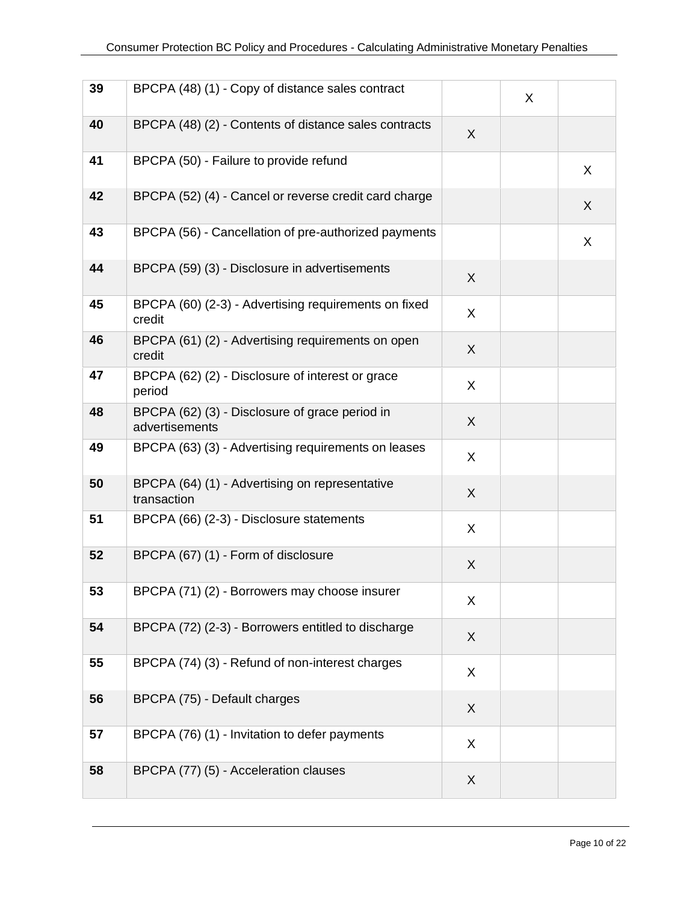| 39 | BPCPA (48) (1) - Copy of distance sales contract                 |   | X |   |
|----|------------------------------------------------------------------|---|---|---|
| 40 | BPCPA (48) (2) - Contents of distance sales contracts            | X |   |   |
| 41 | BPCPA (50) - Failure to provide refund                           |   |   | X |
| 42 | BPCPA (52) (4) - Cancel or reverse credit card charge            |   |   | X |
| 43 | BPCPA (56) - Cancellation of pre-authorized payments             |   |   | X |
| 44 | BPCPA (59) (3) - Disclosure in advertisements                    | X |   |   |
| 45 | BPCPA (60) (2-3) - Advertising requirements on fixed<br>credit   | X |   |   |
| 46 | BPCPA (61) (2) - Advertising requirements on open<br>credit      | X |   |   |
| 47 | BPCPA (62) (2) - Disclosure of interest or grace<br>period       | X |   |   |
| 48 | BPCPA (62) (3) - Disclosure of grace period in<br>advertisements | X |   |   |
| 49 | BPCPA (63) (3) - Advertising requirements on leases              | X |   |   |
| 50 | BPCPA (64) (1) - Advertising on representative<br>transaction    | X |   |   |
| 51 | BPCPA (66) (2-3) - Disclosure statements                         | X |   |   |
| 52 | BPCPA (67) (1) - Form of disclosure                              | X |   |   |
| 53 | BPCPA (71) (2) - Borrowers may choose insurer                    | X |   |   |
| 54 | BPCPA (72) (2-3) - Borrowers entitled to discharge               | X |   |   |
| 55 | BPCPA (74) (3) - Refund of non-interest charges                  | X |   |   |
| 56 | BPCPA (75) - Default charges                                     | X |   |   |
| 57 | BPCPA (76) (1) - Invitation to defer payments                    | X |   |   |
| 58 | BPCPA (77) (5) - Acceleration clauses                            | X |   |   |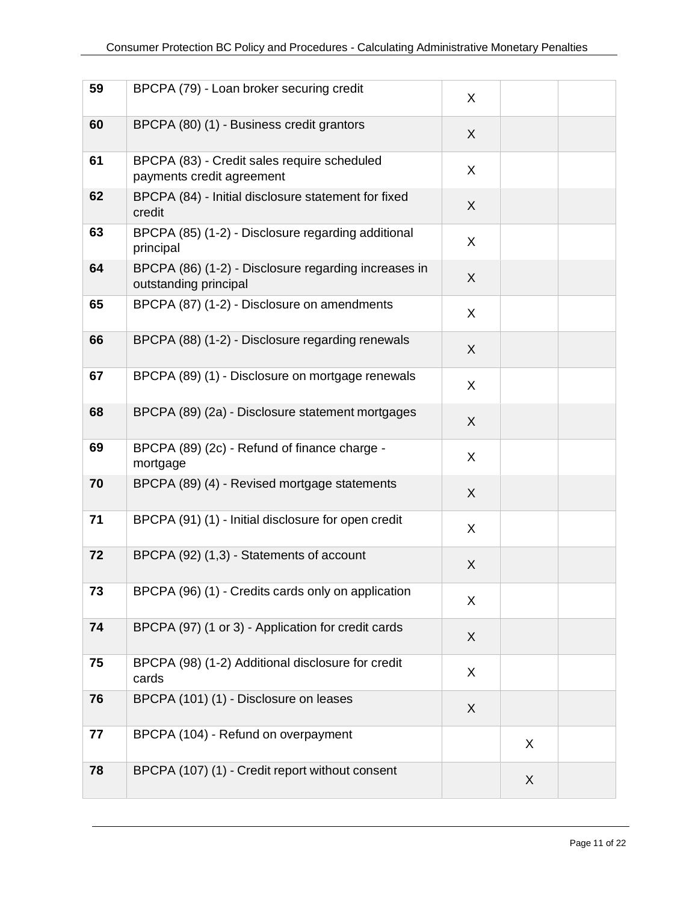| 59 | BPCPA (79) - Loan broker securing credit                                      | X |   |  |
|----|-------------------------------------------------------------------------------|---|---|--|
| 60 | BPCPA (80) (1) - Business credit grantors                                     | X |   |  |
| 61 | BPCPA (83) - Credit sales require scheduled<br>payments credit agreement      | X |   |  |
| 62 | BPCPA (84) - Initial disclosure statement for fixed<br>credit                 | X |   |  |
| 63 | BPCPA (85) (1-2) - Disclosure regarding additional<br>principal               | X |   |  |
| 64 | BPCPA (86) (1-2) - Disclosure regarding increases in<br>outstanding principal | X |   |  |
| 65 | BPCPA (87) (1-2) - Disclosure on amendments                                   | X |   |  |
| 66 | BPCPA (88) (1-2) - Disclosure regarding renewals                              | X |   |  |
| 67 | BPCPA (89) (1) - Disclosure on mortgage renewals                              | X |   |  |
| 68 | BPCPA (89) (2a) - Disclosure statement mortgages                              | X |   |  |
| 69 | BPCPA (89) (2c) - Refund of finance charge -<br>mortgage                      | X |   |  |
| 70 | BPCPA (89) (4) - Revised mortgage statements                                  | X |   |  |
| 71 | BPCPA (91) (1) - Initial disclosure for open credit                           | X |   |  |
| 72 | BPCPA (92) (1,3) - Statements of account                                      | X |   |  |
| 73 | BPCPA (96) (1) - Credits cards only on application                            | X |   |  |
| 74 | BPCPA (97) (1 or 3) - Application for credit cards                            | X |   |  |
| 75 | BPCPA (98) (1-2) Additional disclosure for credit<br>cards                    | X |   |  |
| 76 | BPCPA (101) (1) - Disclosure on leases                                        | X |   |  |
| 77 | BPCPA (104) - Refund on overpayment                                           |   | X |  |
| 78 | BPCPA (107) (1) - Credit report without consent                               |   | X |  |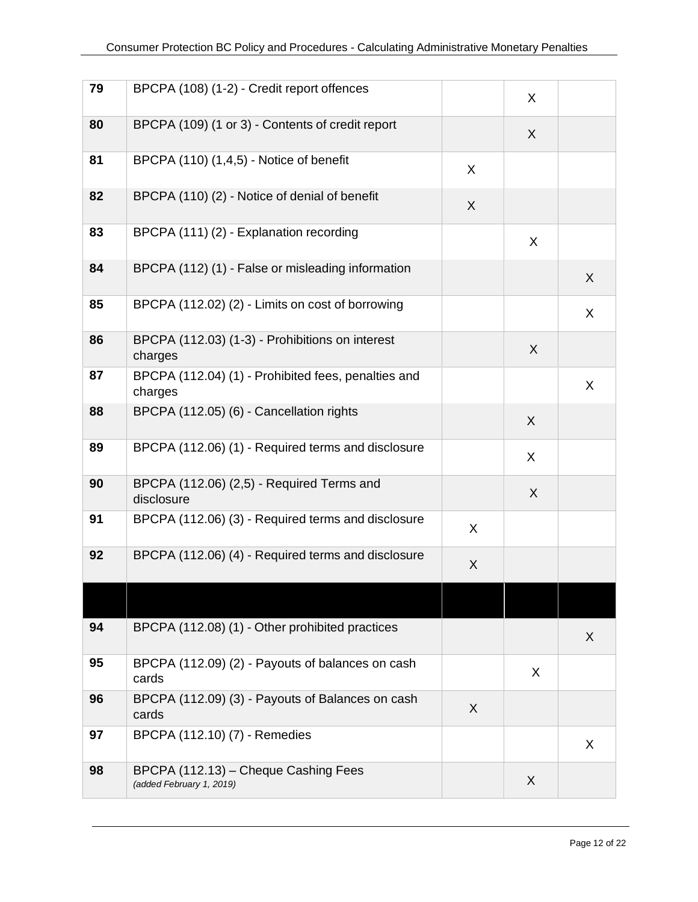| 79 | BPCPA (108) (1-2) - Credit report offences                       |   | X       |         |
|----|------------------------------------------------------------------|---|---------|---------|
| 80 | BPCPA (109) (1 or 3) - Contents of credit report                 |   | X       |         |
| 81 | BPCPA (110) (1,4,5) - Notice of benefit                          | X |         |         |
| 82 | BPCPA (110) (2) - Notice of denial of benefit                    | X |         |         |
| 83 | BPCPA (111) (2) - Explanation recording                          |   | X       |         |
| 84 | BPCPA (112) (1) - False or misleading information                |   |         | X       |
| 85 | BPCPA (112.02) (2) - Limits on cost of borrowing                 |   |         | X       |
| 86 | BPCPA (112.03) (1-3) - Prohibitions on interest<br>charges       |   | X       |         |
| 87 | BPCPA (112.04) (1) - Prohibited fees, penalties and<br>charges   |   |         | X       |
| 88 | BPCPA (112.05) (6) - Cancellation rights                         |   | $\sf X$ |         |
| 89 | BPCPA (112.06) (1) - Required terms and disclosure               |   | X       |         |
| 90 | BPCPA (112.06) (2,5) - Required Terms and<br>disclosure          |   | X       |         |
| 91 | BPCPA (112.06) (3) - Required terms and disclosure               | X |         |         |
| 92 | BPCPA (112.06) (4) - Required terms and disclosure               | X |         |         |
|    |                                                                  |   |         |         |
| 94 | BPCPA (112.08) (1) - Other prohibited practices                  |   |         | X       |
| 95 | BPCPA (112.09) (2) - Payouts of balances on cash<br>cards        |   | X       |         |
| 96 | BPCPA (112.09) (3) - Payouts of Balances on cash<br>cards        | X |         |         |
| 97 | BPCPA (112.10) (7) - Remedies                                    |   |         | $\sf X$ |
| 98 | BPCPA (112.13) - Cheque Cashing Fees<br>(added February 1, 2019) |   | $\sf X$ |         |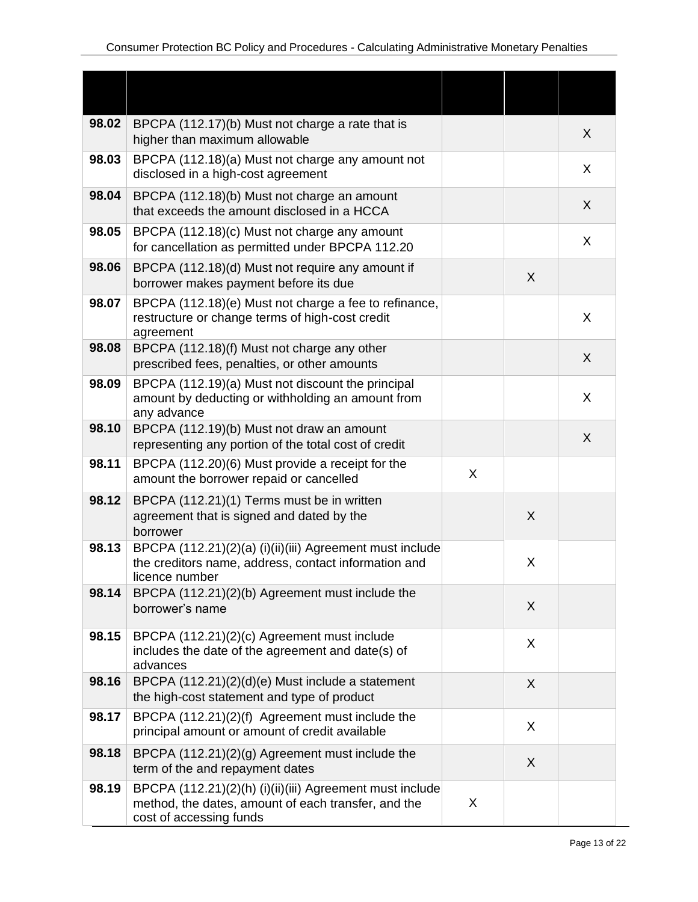| 98.02 | BPCPA (112.17)(b) Must not charge a rate that is<br>higher than maximum allowable                                                          |   |   | X |
|-------|--------------------------------------------------------------------------------------------------------------------------------------------|---|---|---|
| 98.03 | BPCPA (112.18)(a) Must not charge any amount not<br>disclosed in a high-cost agreement                                                     |   |   | X |
| 98.04 | BPCPA (112.18)(b) Must not charge an amount<br>that exceeds the amount disclosed in a HCCA                                                 |   |   | X |
| 98.05 | BPCPA (112.18)(c) Must not charge any amount<br>for cancellation as permitted under BPCPA 112.20                                           |   |   | X |
| 98.06 | BPCPA (112.18)(d) Must not require any amount if<br>borrower makes payment before its due                                                  |   | X |   |
| 98.07 | BPCPA (112.18)(e) Must not charge a fee to refinance,<br>restructure or change terms of high-cost credit<br>agreement                      |   |   | X |
| 98.08 | BPCPA (112.18)(f) Must not charge any other<br>prescribed fees, penalties, or other amounts                                                |   |   | X |
| 98.09 | BPCPA (112.19)(a) Must not discount the principal<br>amount by deducting or withholding an amount from<br>any advance                      |   |   | X |
| 98.10 | BPCPA (112.19)(b) Must not draw an amount<br>representing any portion of the total cost of credit                                          |   |   | X |
| 98.11 | BPCPA (112.20)(6) Must provide a receipt for the<br>amount the borrower repaid or cancelled                                                | X |   |   |
| 98.12 | BPCPA (112.21)(1) Terms must be in written<br>agreement that is signed and dated by the<br>borrower                                        |   | X |   |
| 98.13 | BPCPA (112.21)(2)(a) (i)(ii)(iii) Agreement must include<br>the creditors name, address, contact information and<br>licence number         |   | X |   |
| 98.14 | BPCPA (112.21)(2)(b) Agreement must include the<br>borrower's name                                                                         |   | X |   |
| 98.15 | BPCPA (112.21)(2)(c) Agreement must include<br>includes the date of the agreement and date(s) of<br>advances                               |   | X |   |
| 98.16 | BPCPA (112.21)(2)(d)(e) Must include a statement<br>the high-cost statement and type of product                                            |   | X |   |
| 98.17 | BPCPA (112.21)(2)(f) Agreement must include the<br>principal amount or amount of credit available                                          |   | X |   |
| 98.18 | BPCPA (112.21)(2)(g) Agreement must include the<br>term of the and repayment dates                                                         |   | X |   |
| 98.19 | BPCPA (112.21)(2)(h) (i)(ii)(iii) Agreement must include<br>method, the dates, amount of each transfer, and the<br>cost of accessing funds | X |   |   |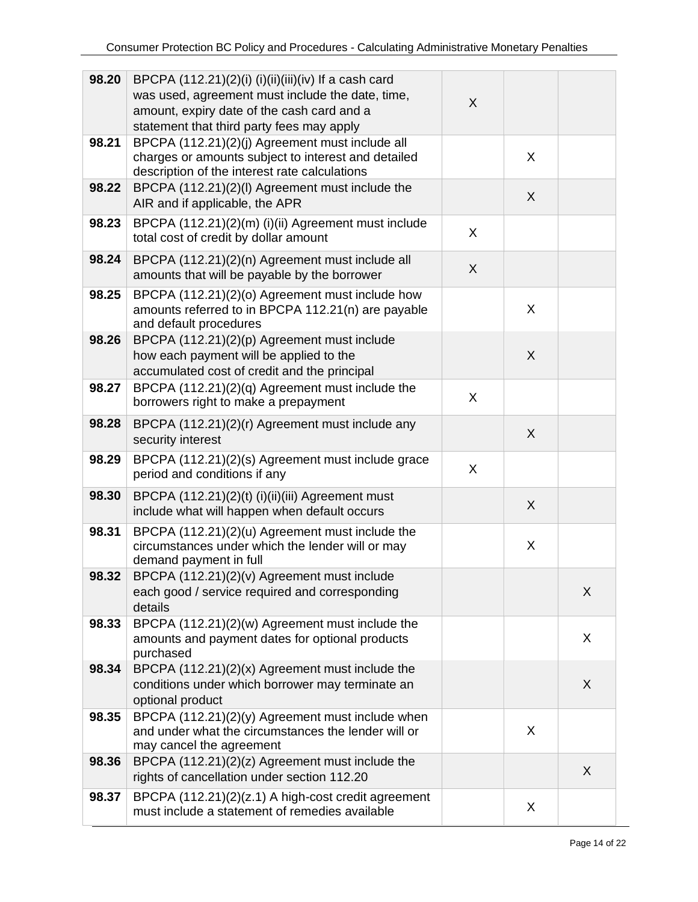| 98.20 | BPCPA $(112.21)(2)(i)$ $(i)(ii)(iii)(iv)$ If a cash card<br>was used, agreement must include the date, time,<br>amount, expiry date of the cash card and a<br>statement that third party fees may apply | X |   |   |
|-------|---------------------------------------------------------------------------------------------------------------------------------------------------------------------------------------------------------|---|---|---|
| 98.21 | BPCPA (112.21)(2)(j) Agreement must include all<br>charges or amounts subject to interest and detailed<br>description of the interest rate calculations                                                 |   | X |   |
| 98.22 | BPCPA (112.21)(2)(I) Agreement must include the<br>AIR and if applicable, the APR                                                                                                                       |   | X |   |
| 98.23 | BPCPA (112.21)(2)(m) (i)(ii) Agreement must include<br>total cost of credit by dollar amount                                                                                                            | X |   |   |
| 98.24 | BPCPA (112.21)(2)(n) Agreement must include all<br>amounts that will be payable by the borrower                                                                                                         | X |   |   |
| 98.25 | BPCPA (112.21)(2)(o) Agreement must include how<br>amounts referred to in BPCPA 112.21(n) are payable<br>and default procedures                                                                         |   | X |   |
| 98.26 | BPCPA (112.21)(2)(p) Agreement must include<br>how each payment will be applied to the<br>accumulated cost of credit and the principal                                                                  |   | X |   |
| 98.27 | BPCPA (112.21)(2)(q) Agreement must include the<br>borrowers right to make a prepayment                                                                                                                 | X |   |   |
| 98.28 | BPCPA (112.21)(2)(r) Agreement must include any<br>security interest                                                                                                                                    |   | X |   |
| 98.29 | BPCPA (112.21)(2)(s) Agreement must include grace<br>period and conditions if any                                                                                                                       | X |   |   |
| 98.30 | BPCPA (112.21)(2)(t) (i)(ii)(iii) Agreement must<br>include what will happen when default occurs                                                                                                        |   | X |   |
| 98.31 | BPCPA (112.21)(2)(u) Agreement must include the<br>circumstances under which the lender will or may<br>demand payment in full                                                                           |   | X |   |
| 98.32 | BPCPA (112.21)(2)(v) Agreement must include<br>each good / service required and corresponding<br>details                                                                                                |   |   | X |
| 98.33 | BPCPA (112.21)(2)(w) Agreement must include the<br>amounts and payment dates for optional products<br>purchased                                                                                         |   |   | X |
| 98.34 | BPCPA $(112.21)(2)(x)$ Agreement must include the<br>conditions under which borrower may terminate an<br>optional product                                                                               |   |   | X |
| 98.35 | BPCPA (112.21)(2)(y) Agreement must include when<br>and under what the circumstances the lender will or<br>may cancel the agreement                                                                     |   | X |   |
| 98.36 | BPCPA (112.21)(2)(z) Agreement must include the<br>rights of cancellation under section 112.20                                                                                                          |   |   | X |
| 98.37 | BPCPA (112.21)(2)(z.1) A high-cost credit agreement<br>must include a statement of remedies available                                                                                                   |   | X |   |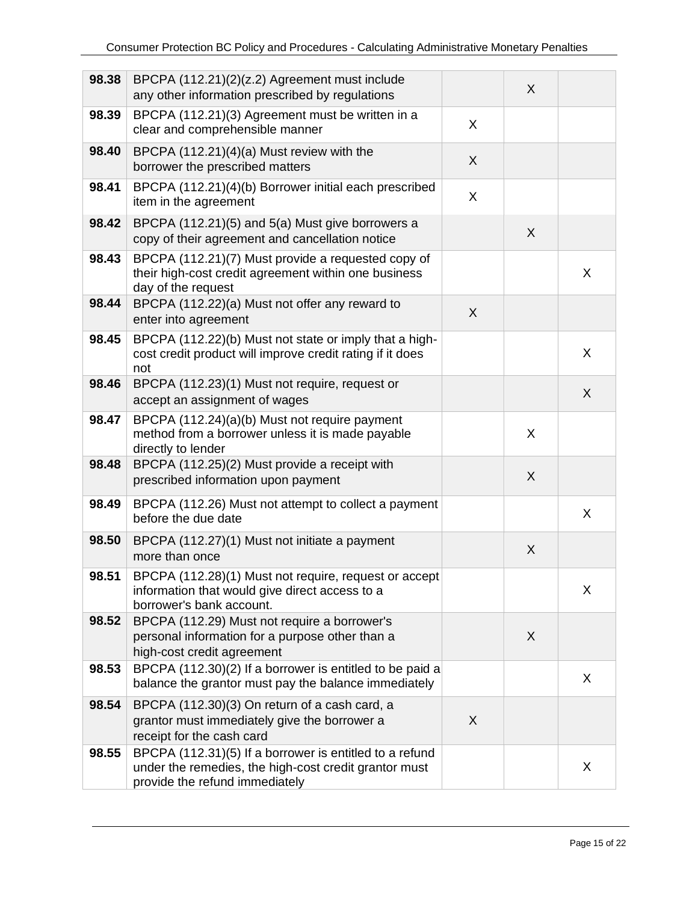| 98.38 | BPCPA (112.21)(2)(z.2) Agreement must include<br>any other information prescribed by regulations                                                   |         | X |   |
|-------|----------------------------------------------------------------------------------------------------------------------------------------------------|---------|---|---|
| 98.39 | BPCPA (112.21)(3) Agreement must be written in a<br>clear and comprehensible manner                                                                | X       |   |   |
| 98.40 | BPCPA (112.21)(4)(a) Must review with the<br>borrower the prescribed matters                                                                       | $\sf X$ |   |   |
| 98.41 | BPCPA (112.21)(4)(b) Borrower initial each prescribed<br>item in the agreement                                                                     | X       |   |   |
| 98.42 | BPCPA (112.21)(5) and 5(a) Must give borrowers a<br>copy of their agreement and cancellation notice                                                |         | X |   |
| 98.43 | BPCPA (112.21)(7) Must provide a requested copy of<br>their high-cost credit agreement within one business<br>day of the request                   |         |   | X |
| 98.44 | BPCPA (112.22)(a) Must not offer any reward to<br>enter into agreement                                                                             | $\sf X$ |   |   |
| 98.45 | BPCPA (112.22)(b) Must not state or imply that a high-<br>cost credit product will improve credit rating if it does<br>not                         |         |   | X |
| 98.46 | BPCPA (112.23)(1) Must not require, request or<br>accept an assignment of wages                                                                    |         |   | X |
| 98.47 | BPCPA (112.24)(a)(b) Must not require payment<br>method from a borrower unless it is made payable<br>directly to lender                            |         | X |   |
| 98.48 | BPCPA (112.25)(2) Must provide a receipt with<br>prescribed information upon payment                                                               |         | X |   |
| 98.49 | BPCPA (112.26) Must not attempt to collect a payment<br>before the due date                                                                        |         |   | X |
| 98.50 | BPCPA (112.27)(1) Must not initiate a payment<br>more than once                                                                                    |         | X |   |
| 98.51 | BPCPA (112.28)(1) Must not require, request or accept<br>information that would give direct access to a<br>borrower's bank account.                |         |   | X |
| 98.52 | BPCPA (112.29) Must not require a borrower's<br>personal information for a purpose other than a<br>high-cost credit agreement                      |         | X |   |
| 98.53 | BPCPA (112.30)(2) If a borrower is entitled to be paid a<br>balance the grantor must pay the balance immediately                                   |         |   | X |
| 98.54 | BPCPA (112.30)(3) On return of a cash card, a<br>grantor must immediately give the borrower a<br>receipt for the cash card                         | X       |   |   |
| 98.55 | BPCPA (112.31)(5) If a borrower is entitled to a refund<br>under the remedies, the high-cost credit grantor must<br>provide the refund immediately |         |   | X |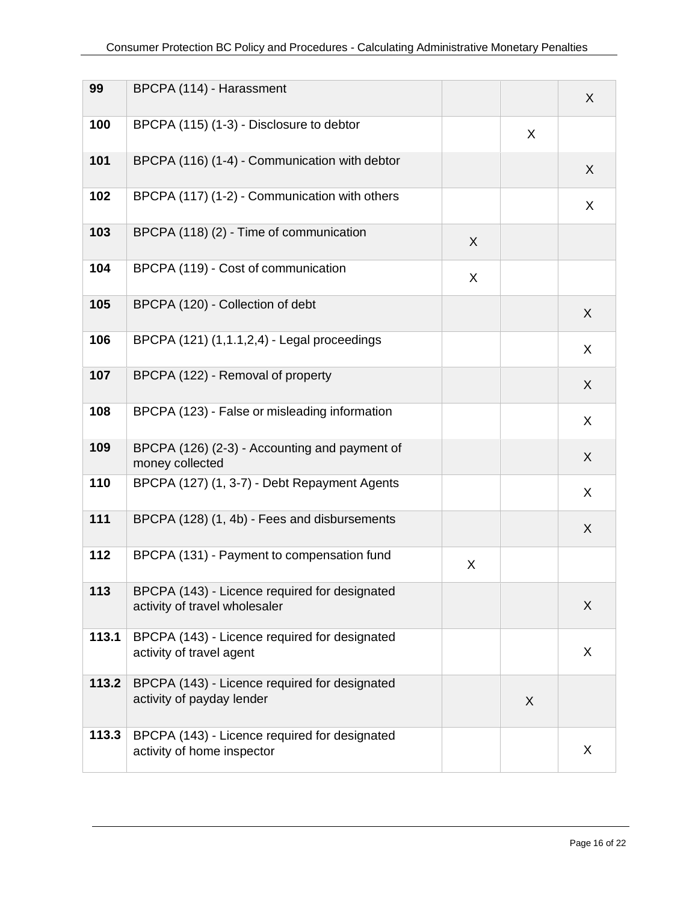| 99    | BPCPA (114) - Harassment                                                       |   |   | $\sf X$ |
|-------|--------------------------------------------------------------------------------|---|---|---------|
| 100   | BPCPA (115) (1-3) - Disclosure to debtor                                       |   | X |         |
| 101   | BPCPA (116) (1-4) - Communication with debtor                                  |   |   | X       |
| 102   | BPCPA (117) (1-2) - Communication with others                                  |   |   | X       |
| 103   | BPCPA (118) (2) - Time of communication                                        | X |   |         |
| 104   | BPCPA (119) - Cost of communication                                            | X |   |         |
| 105   | BPCPA (120) - Collection of debt                                               |   |   | X       |
| 106   | BPCPA (121) (1,1.1,2,4) - Legal proceedings                                    |   |   | X       |
| 107   | BPCPA (122) - Removal of property                                              |   |   | X       |
| 108   | BPCPA (123) - False or misleading information                                  |   |   | X       |
| 109   | BPCPA (126) (2-3) - Accounting and payment of<br>money collected               |   |   | X       |
| 110   | BPCPA (127) (1, 3-7) - Debt Repayment Agents                                   |   |   | X       |
| 111   | BPCPA (128) (1, 4b) - Fees and disbursements                                   |   |   | X       |
| 112   | BPCPA (131) - Payment to compensation fund                                     | X |   |         |
| 113   | BPCPA (143) - Licence required for designated<br>activity of travel wholesaler |   |   | X       |
| 113.1 | BPCPA (143) - Licence required for designated<br>activity of travel agent      |   |   | X       |
| 113.2 | BPCPA (143) - Licence required for designated<br>activity of payday lender     |   | X |         |
| 113.3 | BPCPA (143) - Licence required for designated<br>activity of home inspector    |   |   | X       |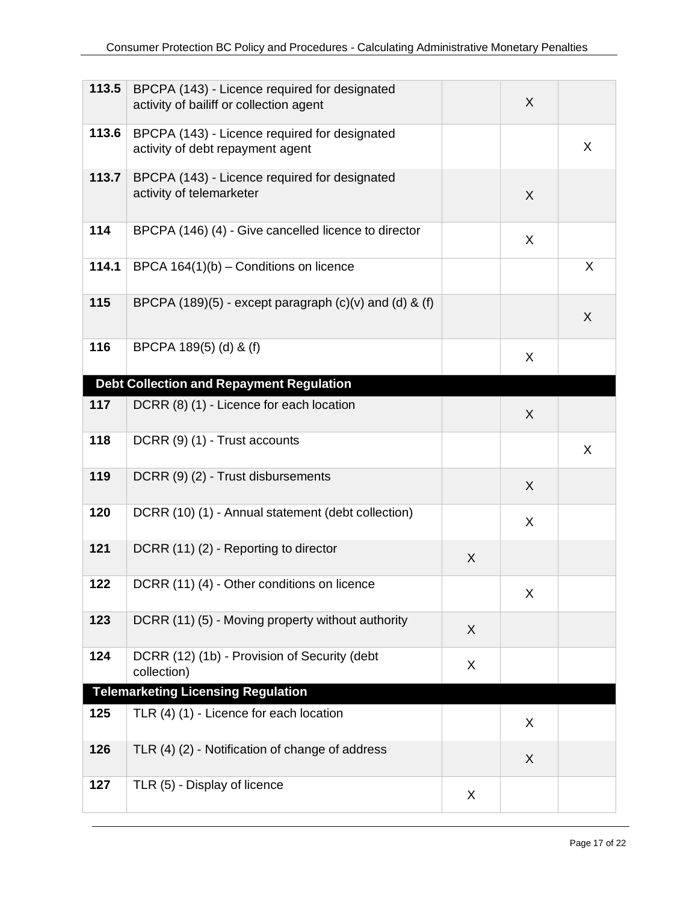| 113.5 | BPCPA (143) - Licence required for designated<br>activity of bailiff or collection agent |   | X |   |
|-------|------------------------------------------------------------------------------------------|---|---|---|
| 113.6 | BPCPA (143) - Licence required for designated<br>activity of debt repayment agent        |   |   | X |
| 113.7 | BPCPA (143) - Licence required for designated<br>activity of telemarketer                |   | X |   |
| 114   | BPCPA (146) (4) - Give cancelled licence to director                                     |   | X |   |
| 114.1 | BPCA 164(1)(b) - Conditions on licence                                                   |   |   | X |
| 115   | BPCPA $(189)(5)$ - except paragraph $(c)(v)$ and $(d)$ & $(f)$                           |   |   | X |
| 116   | BPCPA 189(5) (d) & (f)                                                                   |   | X |   |
|       | <b>Debt Collection and Repayment Regulation</b>                                          |   |   |   |
| 117   | DCRR (8) (1) - Licence for each location                                                 |   | X |   |
| 118   | DCRR (9) (1) - Trust accounts                                                            |   |   | X |
| 119   | DCRR (9) (2) - Trust disbursements                                                       |   | X |   |
| 120   | DCRR (10) (1) - Annual statement (debt collection)                                       |   | X |   |
| 121   | DCRR (11) (2) - Reporting to director                                                    | X |   |   |
| 122   | DCRR (11) (4) - Other conditions on licence                                              |   | X |   |
| 123   | DCRR (11) (5) - Moving property without authority                                        | X |   |   |
| 124   | DCRR (12) (1b) - Provision of Security (debt<br>collection)                              | X |   |   |
|       | <b>Telemarketing Licensing Regulation</b>                                                |   |   |   |
| 125   | TLR (4) (1) - Licence for each location                                                  |   | X |   |
| 126   | TLR (4) (2) - Notification of change of address                                          |   | X |   |
| 127   | TLR (5) - Display of licence                                                             | X |   |   |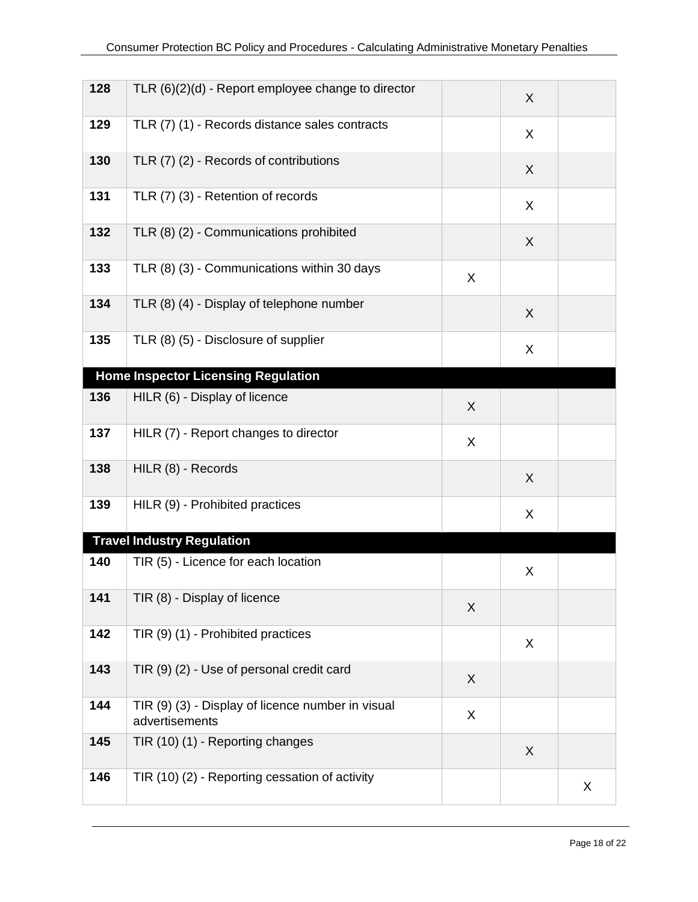| 128 | TLR $(6)(2)(d)$ - Report employee change to director                |   | X            |   |
|-----|---------------------------------------------------------------------|---|--------------|---|
| 129 | TLR (7) (1) - Records distance sales contracts                      |   | X            |   |
| 130 | TLR (7) (2) - Records of contributions                              |   | X            |   |
| 131 | TLR (7) (3) - Retention of records                                  |   | X            |   |
| 132 | TLR (8) (2) - Communications prohibited                             |   | X            |   |
| 133 | TLR (8) (3) - Communications within 30 days                         | X |              |   |
| 134 | TLR (8) (4) - Display of telephone number                           |   | X            |   |
| 135 | TLR (8) (5) - Disclosure of supplier                                |   | X            |   |
|     | <b>Home Inspector Licensing Regulation</b>                          |   |              |   |
| 136 | HILR (6) - Display of licence                                       | X |              |   |
| 137 | HILR (7) - Report changes to director                               | X |              |   |
| 138 | HILR (8) - Records                                                  |   | X            |   |
| 139 | HILR (9) - Prohibited practices                                     |   | X            |   |
|     | <b>Travel Industry Regulation</b>                                   |   |              |   |
| 140 | TIR (5) - Licence for each location                                 |   | X            |   |
| 141 | TIR (8) - Display of licence                                        | X |              |   |
| 142 | TIR (9) (1) - Prohibited practices                                  |   | X            |   |
| 143 | TIR (9) (2) - Use of personal credit card                           | X |              |   |
| 144 | TIR (9) (3) - Display of licence number in visual<br>advertisements | X |              |   |
| 145 | TIR (10) (1) - Reporting changes                                    |   | $\mathsf{X}$ |   |
| 146 | TIR (10) (2) - Reporting cessation of activity                      |   |              | X |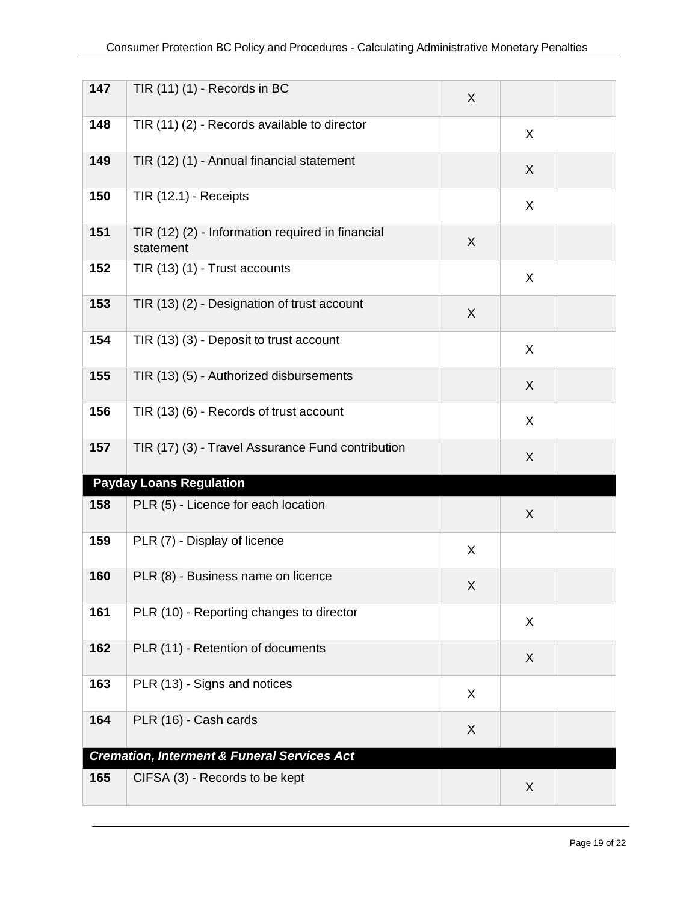| 147 | TIR $(11)$ $(1)$ - Records in BC                              | X |   |  |
|-----|---------------------------------------------------------------|---|---|--|
| 148 | TIR (11) (2) - Records available to director                  |   | X |  |
| 149 | TIR (12) (1) - Annual financial statement                     |   | X |  |
| 150 | TIR (12.1) - Receipts                                         |   | X |  |
| 151 | TIR (12) (2) - Information required in financial<br>statement | X |   |  |
| 152 | TIR (13) (1) - Trust accounts                                 |   | X |  |
| 153 | TIR (13) (2) - Designation of trust account                   | X |   |  |
| 154 | TIR (13) (3) - Deposit to trust account                       |   | X |  |
| 155 | TIR (13) (5) - Authorized disbursements                       |   | X |  |
| 156 | TIR (13) (6) - Records of trust account                       |   | X |  |
| 157 | TIR (17) (3) - Travel Assurance Fund contribution             |   | X |  |
|     | <b>Payday Loans Regulation</b>                                |   |   |  |
| 158 | PLR (5) - Licence for each location                           |   | X |  |
| 159 | PLR (7) - Display of licence                                  | X |   |  |
| 160 | PLR (8) - Business name on licence                            | X |   |  |
| 161 | PLR (10) - Reporting changes to director                      |   | X |  |
| 162 | PLR (11) - Retention of documents                             |   | X |  |
| 163 | PLR (13) - Signs and notices                                  | X |   |  |
| 164 | PLR (16) - Cash cards                                         | X |   |  |
|     | <b>Cremation, Interment &amp; Funeral Services Act</b>        |   |   |  |
| 165 | CIFSA (3) - Records to be kept                                |   | X |  |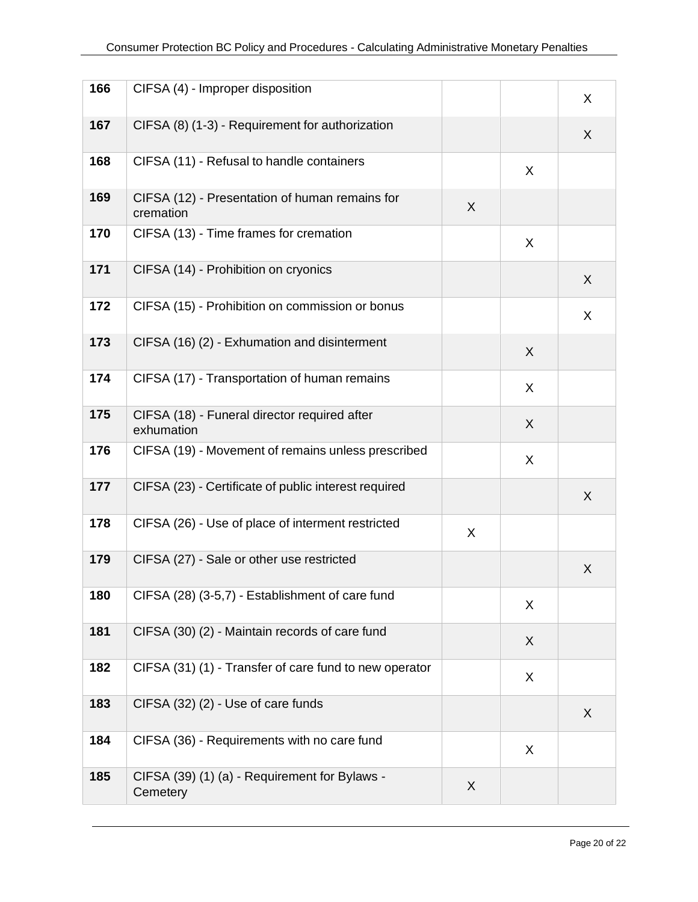| 166 | CIFSA (4) - Improper disposition                            |   |   | X |
|-----|-------------------------------------------------------------|---|---|---|
| 167 | CIFSA (8) (1-3) - Requirement for authorization             |   |   | X |
| 168 | CIFSA (11) - Refusal to handle containers                   |   | X |   |
| 169 | CIFSA (12) - Presentation of human remains for<br>cremation | X |   |   |
| 170 | CIFSA (13) - Time frames for cremation                      |   | X |   |
| 171 | CIFSA (14) - Prohibition on cryonics                        |   |   | X |
| 172 | CIFSA (15) - Prohibition on commission or bonus             |   |   | X |
| 173 | CIFSA (16) (2) - Exhumation and disinterment                |   | X |   |
| 174 | CIFSA (17) - Transportation of human remains                |   | X |   |
| 175 | CIFSA (18) - Funeral director required after<br>exhumation  |   | X |   |
| 176 | CIFSA (19) - Movement of remains unless prescribed          |   | X |   |
| 177 | CIFSA (23) - Certificate of public interest required        |   |   | X |
| 178 | CIFSA (26) - Use of place of interment restricted           | X |   |   |
| 179 | CIFSA (27) - Sale or other use restricted                   |   |   | X |
| 180 | CIFSA (28) (3-5,7) - Establishment of care fund             |   | X |   |
| 181 | CIFSA (30) (2) - Maintain records of care fund              |   | X |   |
| 182 | CIFSA (31) (1) - Transfer of care fund to new operator      |   | X |   |
| 183 | CIFSA (32) (2) - Use of care funds                          |   |   | X |
| 184 | CIFSA (36) - Requirements with no care fund                 |   | X |   |
| 185 | CIFSA (39) (1) (a) - Requirement for Bylaws -<br>Cemetery   | X |   |   |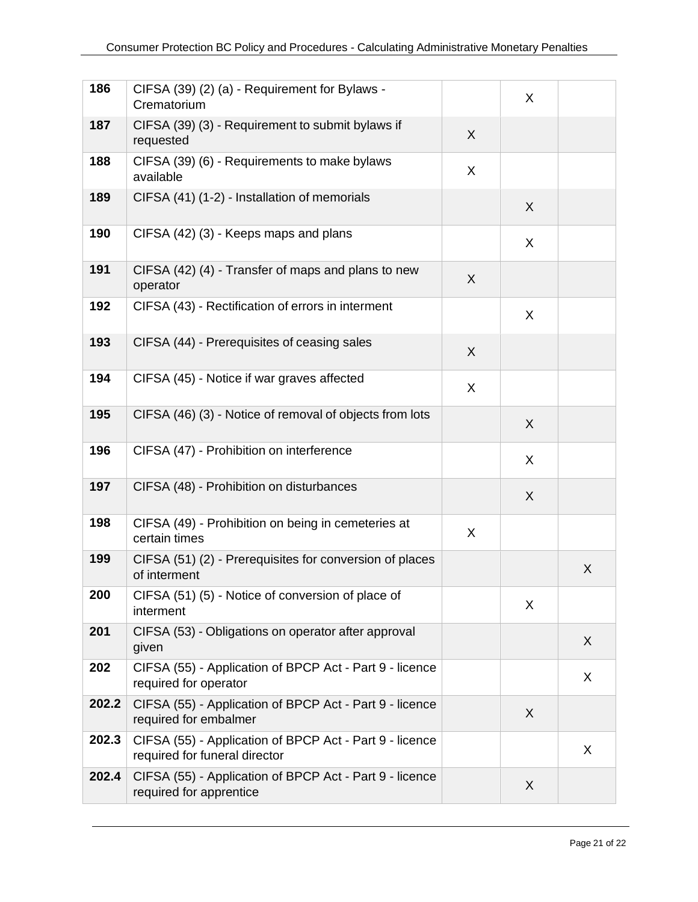| 186   | CIFSA (39) (2) (a) - Requirement for Bylaws -<br>Crematorium                             |   | X |   |
|-------|------------------------------------------------------------------------------------------|---|---|---|
| 187   | CIFSA (39) (3) - Requirement to submit bylaws if<br>requested                            | X |   |   |
| 188   | CIFSA (39) (6) - Requirements to make bylaws<br>available                                | X |   |   |
| 189   | CIFSA (41) (1-2) - Installation of memorials                                             |   | X |   |
| 190   | CIFSA (42) (3) - Keeps maps and plans                                                    |   | X |   |
| 191   | CIFSA (42) (4) - Transfer of maps and plans to new<br>operator                           | X |   |   |
| 192   | CIFSA (43) - Rectification of errors in interment                                        |   | X |   |
| 193   | CIFSA (44) - Prerequisites of ceasing sales                                              | X |   |   |
| 194   | CIFSA (45) - Notice if war graves affected                                               | X |   |   |
| 195   | CIFSA (46) (3) - Notice of removal of objects from lots                                  |   | X |   |
| 196   | CIFSA (47) - Prohibition on interference                                                 |   | X |   |
| 197   | CIFSA (48) - Prohibition on disturbances                                                 |   | X |   |
| 198   | CIFSA (49) - Prohibition on being in cemeteries at<br>certain times                      | X |   |   |
| 199   | CIFSA (51) (2) - Prerequisites for conversion of places<br>of interment                  |   |   | X |
| 200   | CIFSA (51) (5) - Notice of conversion of place of<br>interment                           |   | X |   |
| 201   | CIFSA (53) - Obligations on operator after approval<br>given                             |   |   | X |
| 202   | CIFSA (55) - Application of BPCP Act - Part 9 - licence<br>required for operator         |   |   | X |
| 202.2 | CIFSA (55) - Application of BPCP Act - Part 9 - licence<br>required for embalmer         |   | X |   |
| 202.3 | CIFSA (55) - Application of BPCP Act - Part 9 - licence<br>required for funeral director |   |   | X |
| 202.4 | CIFSA (55) - Application of BPCP Act - Part 9 - licence<br>required for apprentice       |   | X |   |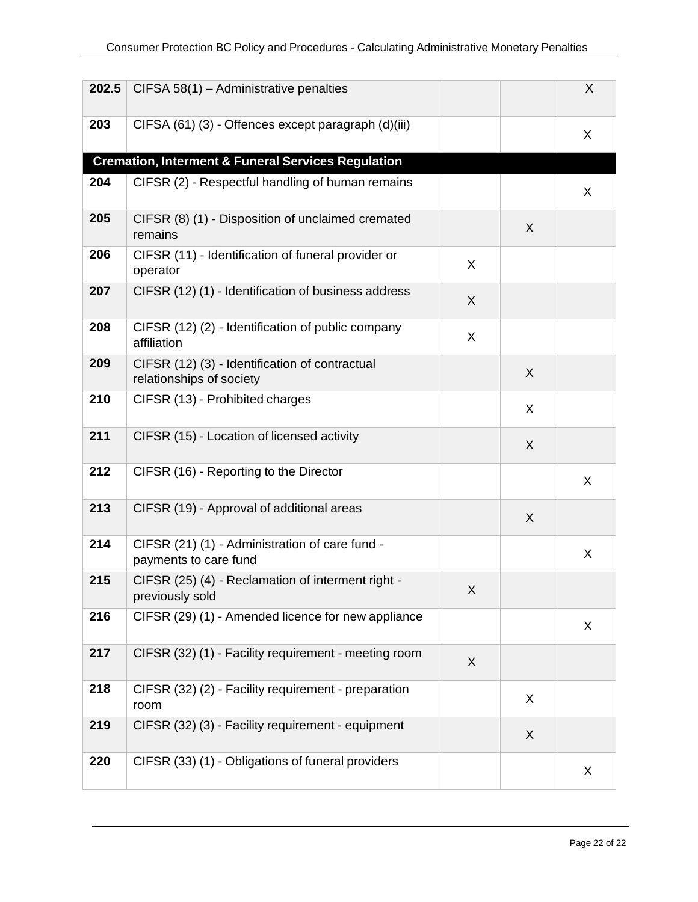| 202.5 | CIFSA 58(1) - Administrative penalties                                     |   |   | $\sf X$ |
|-------|----------------------------------------------------------------------------|---|---|---------|
| 203   | CIFSA (61) (3) - Offences except paragraph (d)(iii)                        |   |   | X       |
|       | <b>Cremation, Interment &amp; Funeral Services Regulation</b>              |   |   |         |
| 204   | CIFSR (2) - Respectful handling of human remains                           |   |   | X       |
| 205   | CIFSR (8) (1) - Disposition of unclaimed cremated<br>remains               |   | X |         |
| 206   | CIFSR (11) - Identification of funeral provider or<br>operator             | X |   |         |
| 207   | CIFSR (12) (1) - Identification of business address                        | X |   |         |
| 208   | CIFSR (12) (2) - Identification of public company<br>affiliation           | X |   |         |
| 209   | CIFSR (12) (3) - Identification of contractual<br>relationships of society |   | X |         |
| 210   | CIFSR (13) - Prohibited charges                                            |   | X |         |
| 211   | CIFSR (15) - Location of licensed activity                                 |   | X |         |
| 212   | CIFSR (16) - Reporting to the Director                                     |   |   | X       |
| 213   | CIFSR (19) - Approval of additional areas                                  |   | X |         |
| 214   | CIFSR (21) (1) - Administration of care fund -<br>payments to care fund    |   |   | X       |
| 215   | CIFSR (25) (4) - Reclamation of interment right -<br>previously sold       | X |   |         |
| 216   | CIFSR (29) (1) - Amended licence for new appliance                         |   |   | X       |
| 217   | CIFSR (32) (1) - Facility requirement - meeting room                       | X |   |         |
| 218   | CIFSR (32) (2) - Facility requirement - preparation<br>room                |   | X |         |
| 219   | CIFSR (32) (3) - Facility requirement - equipment                          |   | X |         |
| 220   | CIFSR (33) (1) - Obligations of funeral providers                          |   |   | X       |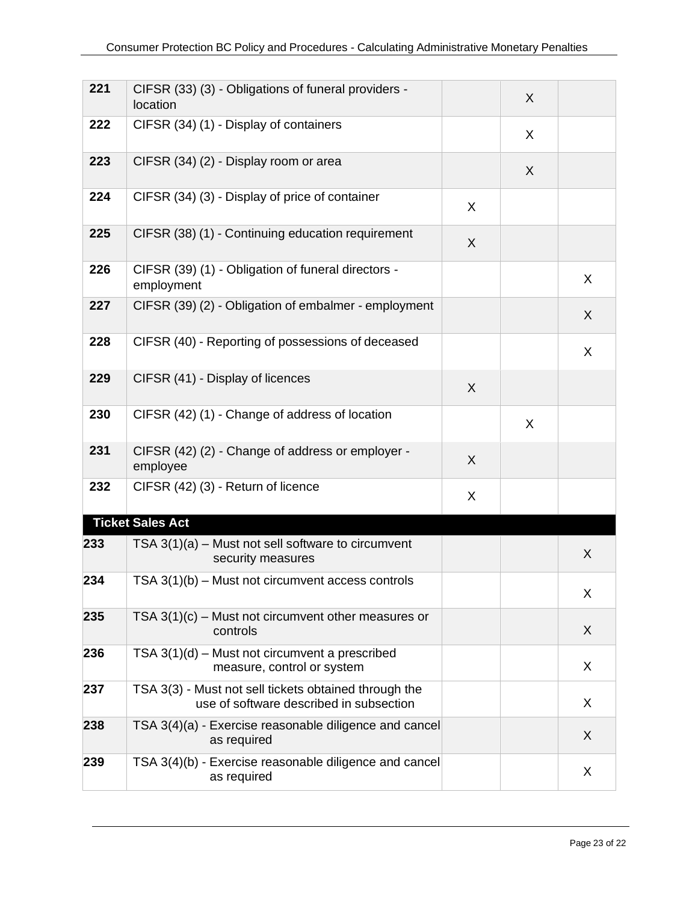| 221 | CIFSR (33) (3) - Obligations of funeral providers -<br>location                                  |   | X |   |
|-----|--------------------------------------------------------------------------------------------------|---|---|---|
| 222 | CIFSR (34) (1) - Display of containers                                                           |   | X |   |
| 223 | CIFSR (34) (2) - Display room or area                                                            |   | X |   |
| 224 | CIFSR (34) (3) - Display of price of container                                                   | X |   |   |
| 225 | CIFSR (38) (1) - Continuing education requirement                                                | X |   |   |
| 226 | CIFSR (39) (1) - Obligation of funeral directors -<br>employment                                 |   |   | X |
| 227 | CIFSR (39) (2) - Obligation of embalmer - employment                                             |   |   | X |
| 228 | CIFSR (40) - Reporting of possessions of deceased                                                |   |   | X |
| 229 | CIFSR (41) - Display of licences                                                                 | X |   |   |
| 230 | CIFSR (42) (1) - Change of address of location                                                   |   | X |   |
| 231 | CIFSR (42) (2) - Change of address or employer -<br>employee                                     | X |   |   |
| 232 | CIFSR (42) (3) - Return of licence                                                               | X |   |   |
|     | <b>Ticket Sales Act</b>                                                                          |   |   |   |
| 233 | TSA $3(1)(a)$ – Must not sell software to circumvent<br>security measures                        |   |   | X |
| 234 | TSA $3(1)(b)$ – Must not circumvent access controls                                              |   |   | X |
| 235 | TSA $3(1)(c)$ – Must not circumvent other measures or<br>controls                                |   |   | X |
| 236 | TSA $3(1)(d)$ – Must not circumvent a prescribed<br>measure, control or system                   |   |   | X |
| 237 | TSA 3(3) - Must not sell tickets obtained through the<br>use of software described in subsection |   |   | X |
| 238 | TSA 3(4)(a) - Exercise reasonable diligence and cancel<br>as required                            |   |   | X |
| 239 | TSA 3(4)(b) - Exercise reasonable diligence and cancel<br>as required                            |   |   | X |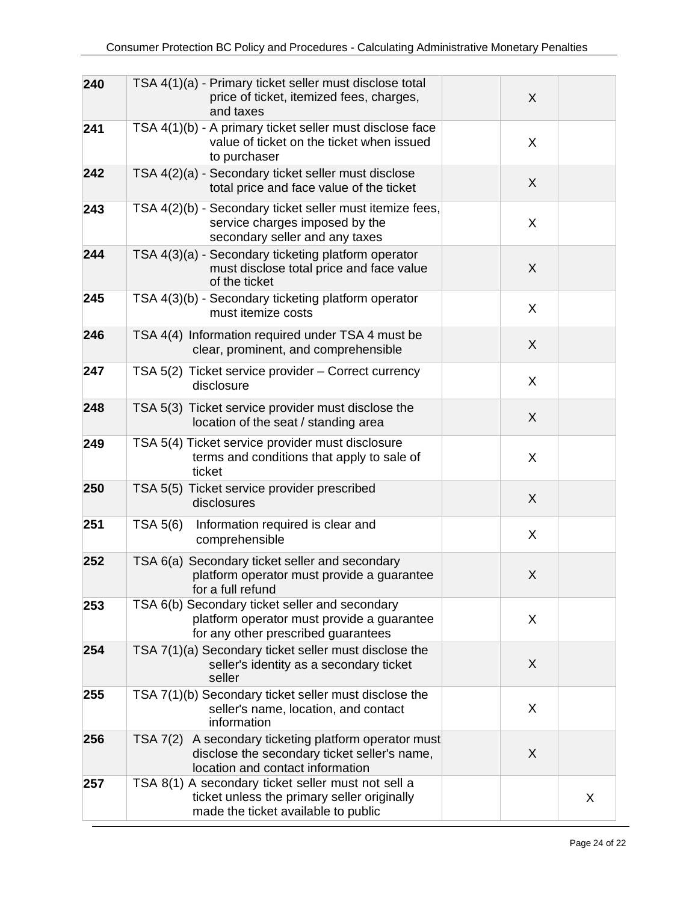| 240 | TSA 4(1)(a) - Primary ticket seller must disclose total<br>price of ticket, itemized fees, charges,<br>and taxes                             | X |
|-----|----------------------------------------------------------------------------------------------------------------------------------------------|---|
| 241 | TSA 4(1)(b) - A primary ticket seller must disclose face<br>value of ticket on the ticket when issued<br>to purchaser                        | X |
| 242 | TSA 4(2)(a) - Secondary ticket seller must disclose<br>total price and face value of the ticket                                              | X |
| 243 | TSA 4(2)(b) - Secondary ticket seller must itemize fees,<br>service charges imposed by the<br>secondary seller and any taxes                 | X |
| 244 | TSA 4(3)(a) - Secondary ticketing platform operator<br>must disclose total price and face value<br>of the ticket                             | X |
| 245 | TSA 4(3)(b) - Secondary ticketing platform operator<br>must itemize costs                                                                    | X |
| 246 | TSA 4(4) Information required under TSA 4 must be<br>clear, prominent, and comprehensible                                                    | X |
| 247 | TSA 5(2) Ticket service provider - Correct currency<br>disclosure                                                                            | X |
| 248 | TSA 5(3) Ticket service provider must disclose the<br>location of the seat / standing area                                                   | X |
| 249 | TSA 5(4) Ticket service provider must disclosure<br>terms and conditions that apply to sale of<br>ticket                                     | X |
| 250 | TSA 5(5) Ticket service provider prescribed<br>disclosures                                                                                   | X |
| 251 | TSA 5(6)<br>Information required is clear and<br>comprehensible                                                                              | X |
| 252 | TSA 6(a) Secondary ticket seller and secondary<br>platform operator must provide a guarantee<br>for a full refund                            | X |
| 253 | TSA 6(b) Secondary ticket seller and secondary<br>platform operator must provide a guarantee<br>for any other prescribed guarantees          | X |
| 254 | TSA 7(1)(a) Secondary ticket seller must disclose the<br>seller's identity as a secondary ticket<br>seller                                   | X |
| 255 | TSA 7(1)(b) Secondary ticket seller must disclose the<br>seller's name, location, and contact<br>information                                 | X |
| 256 | TSA 7(2)<br>A secondary ticketing platform operator must<br>disclose the secondary ticket seller's name,<br>location and contact information | X |
| 257 | TSA 8(1) A secondary ticket seller must not sell a<br>ticket unless the primary seller originally<br>made the ticket available to public     | X |